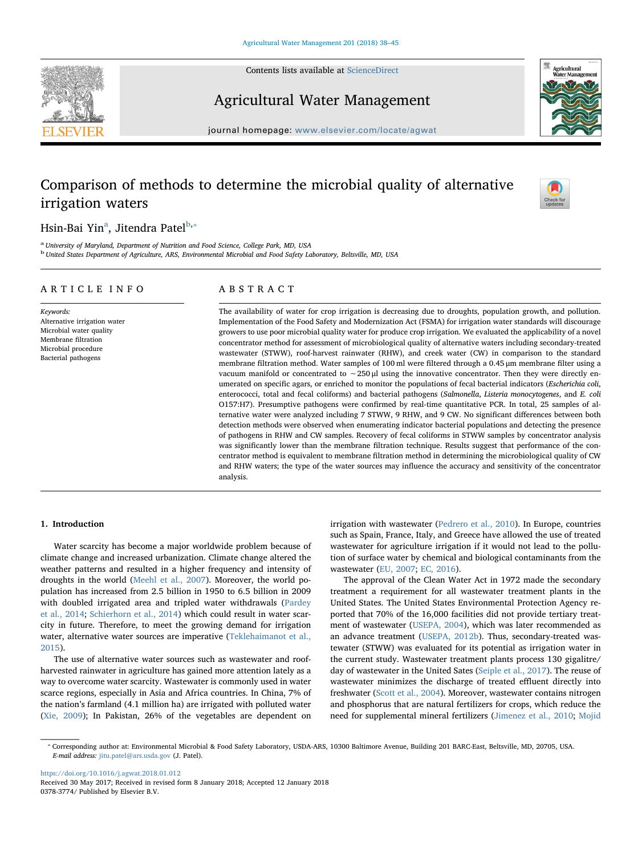Contents lists available at [ScienceDirect](http://www.sciencedirect.com/science/journal/03783774)





## Agricultural Water Management

journal homepage: [www.elsevier.com/locate/agwat](https://www.elsevier.com/locate/agwat)

# Comparison of methods to determine the microbial quality of alternative irrigation waters



## Hsin-Bai Yin<sup>a</sup>, Jitendra Patel<sup>[b,](#page-0-1)</sup>\*

<span id="page-0-1"></span><span id="page-0-0"></span><sup>a</sup> University of Maryland, Department of Nutrition and Food Science, College Park, MD, USA <sup>b</sup> United States Department of Agriculture, ARS, Environmental Microbial and Food Safety Laboratory, Beltsville, MD, USA

## ARTICLE INFO

Keywords: Alternative irrigation water Microbial water quality Membrane filtration Microbial procedure Bacterial pathogens

## ABSTRACT

The availability of water for crop irrigation is decreasing due to droughts, population growth, and pollution. Implementation of the Food Safety and Modernization Act (FSMA) for irrigation water standards will discourage growers to use poor microbial quality water for produce crop irrigation. We evaluated the applicability of a novel concentrator method for assessment of microbiological quality of alternative waters including secondary-treated wastewater (STWW), roof-harvest rainwater (RHW), and creek water (CW) in comparison to the standard membrane filtration method. Water samples of 100 ml were filtered through a 0.45 μm membrane filter using a vacuum manifold or concentrated to ∼250 μl using the innovative concentrator. Then they were directly enumerated on specific agars, or enriched to monitor the populations of fecal bacterial indicators (Escherichia coli, enterococci, total and fecal coliforms) and bacterial pathogens (Salmonella, Listeria monocytogenes, and E. coli O157:H7). Presumptive pathogens were confirmed by real-time quantitative PCR. In total, 25 samples of alternative water were analyzed including 7 STWW, 9 RHW, and 9 CW. No significant differences between both detection methods were observed when enumerating indicator bacterial populations and detecting the presence of pathogens in RHW and CW samples. Recovery of fecal coliforms in STWW samples by concentrator analysis was significantly lower than the membrane filtration technique. Results suggest that performance of the concentrator method is equivalent to membrane filtration method in determining the microbiological quality of CW and RHW waters; the type of the water sources may influence the accuracy and sensitivity of the concentrator analysis.

## 1. Introduction

Water scarcity has become a major worldwide problem because of climate change and increased urbanization. Climate change altered the weather patterns and resulted in a higher frequency and intensity of droughts in the world ([Meehl et al., 2007\)](#page-7-0). Moreover, the world population has increased from 2.5 billion in 1950 to 6.5 billion in 2009 with doubled irrigated area and tripled water withdrawals [\(Pardey](#page-7-1) [et al., 2014](#page-7-1); [Schierhorn et al., 2014](#page-7-2)) which could result in water scarcity in future. Therefore, to meet the growing demand for irrigation water, alternative water sources are imperative ([Teklehaimanot et al.,](#page-7-3) [2015\)](#page-7-3).

The use of alternative water sources such as wastewater and roofharvested rainwater in agriculture has gained more attention lately as a way to overcome water scarcity. Wastewater is commonly used in water scarce regions, especially in Asia and Africa countries. In China, 7% of the nation's farmland (4.1 million ha) are irrigated with polluted water ([Xie, 2009\)](#page-7-4); In Pakistan, 26% of the vegetables are dependent on

irrigation with wastewater ([Pedrero et al., 2010\)](#page-7-5). In Europe, countries such as Spain, France, Italy, and Greece have allowed the use of treated wastewater for agriculture irrigation if it would not lead to the pollution of surface water by chemical and biological contaminants from the wastewater [\(EU, 2007;](#page-6-0) [EC, 2016\)](#page-6-1).

The approval of the Clean Water Act in 1972 made the secondary treatment a requirement for all wastewater treatment plants in the United States. The United States Environmental Protection Agency reported that 70% of the 16,000 facilities did not provide tertiary treatment of wastewater ([USEPA, 2004](#page-7-6)), which was later recommended as an advance treatment ([USEPA, 2012b](#page-7-7)). Thus, secondary-treated wastewater (STWW) was evaluated for its potential as irrigation water in the current study. Wastewater treatment plants process 130 gigalitre/ day of wastewater in the United Sates [\(Seiple et al., 2017](#page-7-8)). The reuse of wastewater minimizes the discharge of treated effluent directly into freshwater [\(Scott et al., 2004\)](#page-7-9). Moreover, wastewater contains nitrogen and phosphorus that are natural fertilizers for crops, which reduce the need for supplemental mineral fertilizers ([Jimenez et al., 2010;](#page-7-10) [Mojid](#page-7-11)

<https://doi.org/10.1016/j.agwat.2018.01.012>

<span id="page-0-2"></span><sup>⁎</sup> Corresponding author at: Environmental Microbial & Food Safety Laboratory, USDA-ARS, 10300 Baltimore Avenue, Building 201 BARC-East, Beltsville, MD, 20705, USA. E-mail address: [jitu.patel@ars.usda.gov](mailto:jitu.patel@ars.usda.gov) (J. Patel).

Received 30 May 2017; Received in revised form 8 January 2018; Accepted 12 January 2018 0378-3774/ Published by Elsevier B.V.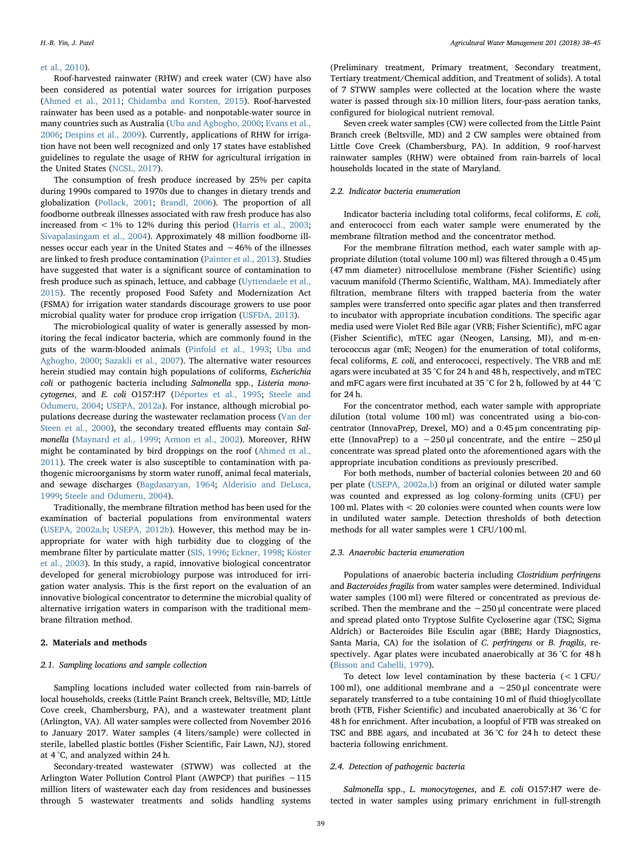### [et al., 2010](#page-7-11)).

Roof-harvested rainwater (RHW) and creek water (CW) have also been considered as potential water sources for irrigation purposes ([Ahmed et al., 2011;](#page-6-2) [Chidamba and Korsten, 2015](#page-6-3)). Roof-harvested rainwater has been used as a potable- and nonpotable-water source in many countries such as Australia [\(Uba and Aghogho, 2000](#page-7-12); [Evans et al.,](#page-6-4) [2006;](#page-6-4) [Despins et al., 2009](#page-6-5)). Currently, applications of RHW for irrigation have not been well recognized and only 17 states have established guidelines to regulate the usage of RHW for agricultural irrigation in the United States [\(NCSL, 2017](#page-7-13)).

The consumption of fresh produce increased by 25% per capita during 1990s compared to 1970s due to changes in dietary trends and globalization [\(Pollack, 2001](#page-7-14); [Brandl, 2006](#page-6-6)). The proportion of all foodborne outbreak illnesses associated with raw fresh produce has also increased from < 1% to 12% during this period ([Harris et al., 2003](#page-6-7); [Sivapalasingam et al., 2004\)](#page-7-15). Approximately 48 million foodborne illnesses occur each year in the United States and ∼46% of the illnesses are linked to fresh produce contamination [\(Painter et al., 2013](#page-7-16)). Studies have suggested that water is a significant source of contamination to fresh produce such as spinach, lettuce, and cabbage [\(Uyttendaele et al.,](#page-7-17) [2015\)](#page-7-17). The recently proposed Food Safety and Modernization Act (FSMA) for irrigation water standards discourage growers to use poor microbial quality water for produce crop irrigation [\(USFDA, 2013\)](#page-7-18).

The microbiological quality of water is generally assessed by monitoring the fecal indicator bacteria, which are commonly found in the guts of the warm-blooded animals [\(Pinfold et al., 1993;](#page-7-19) [Uba and](#page-7-12) [Aghogho, 2000](#page-7-12); [Sazakli et al., 2007](#page-7-20)). The alternative water resources herein studied may contain high populations of coliforms, Escherichia coli or pathogenic bacteria including Salmonella spp., Listeria monocytogenes, and E. coli O157:H7 ([Déportes et al., 1995;](#page-6-8) [Steele and](#page-7-21) [Odumeru, 2004;](#page-7-21) [USEPA, 2012a](#page-7-22)). For instance, although microbial populations decrease during the wastewater reclamation process [\(Van der](#page-7-23) [Steen et al., 2000\)](#page-7-23), the secondary treated effluents may contain Salmonella [\(Maynard et al., 1999](#page-7-24); [Armon et al., 2002](#page-6-9)). Moreover, RHW might be contaminated by bird droppings on the roof ([Ahmed et al.,](#page-6-2) [2011\)](#page-6-2). The creek water is also susceptible to contamination with pathogenic microorganisms by storm water runoff, animal fecal materials, and sewage discharges ([Bagdasaryan,](#page-6-10) 1964; [Alderisio and DeLuca,](#page-6-11) [1999;](#page-6-11) [Steele and Odumeru, 2004\)](#page-7-21).

Traditionally, the membrane filtration method has been used for the examination of bacterial populations from environmental waters ([USEPA, 2002a,b](#page-7-25); [USEPA, 2012b](#page-7-7)). However, this method may be inappropriate for water with high turbidity due to clogging of the membrane filter by particulate matter ([SIS, 1996](#page-7-26); [Eckner, 1998;](#page-6-12) [Köster](#page-7-27) [et al., 2003\)](#page-7-27). In this study, a rapid, innovative biological concentrator developed for general microbiology purpose was introduced for irrigation water analysis. This is the first report on the evaluation of an innovative biological concentrator to determine the microbial quality of alternative irrigation waters in comparison with the traditional membrane filtration method.

## 2. Materials and methods

## 2.1. Sampling locations and sample collection

Sampling locations included water collected from rain-barrels of local households, creeks (Little Paint Branch creek, Beltsville, MD; Little Cove creek, Chambersburg, PA), and a wastewater treatment plant (Arlington, VA). All water samples were collected from November 2016 to January 2017. Water samples (4 liters/sample) were collected in sterile, labelled plastic bottles (Fisher Scientific, Fair Lawn, NJ), stored at 4 °C, and analyzed within 24 h.

Secondary-treated wastewater (STWW) was collected at the Arlington Water Pollution Control Plant (AWPCP) that purifies ∼115 million liters of wastewater each day from residences and businesses through 5 wastewater treatments and solids handling systems

(Preliminary treatment, Primary treatment, Secondary treatment, Tertiary treatment/Chemical addition, and Treatment of solids). A total of 7 STWW samples were collected at the location where the waste water is passed through six-10 million liters, four-pass aeration tanks, configured for biological nutrient removal.

Seven creek water samples (CW) were collected from the Little Paint Branch creek (Beltsville, MD) and 2 CW samples were obtained from Little Cove Creek (Chambersburg, PA). In addition, 9 roof-harvest rainwater samples (RHW) were obtained from rain-barrels of local households located in the state of Maryland.

## 2.2. Indicator bacteria enumeration

Indicator bacteria including total coliforms, fecal coliforms, E. coli, and enterococci from each water sample were enumerated by the membrane filtration method and the concentrator method.

For the membrane filtration method, each water sample with appropriate dilution (total volume 100 ml) was filtered through a 0.45 μm (47 mm diameter) nitrocellulose membrane (Fisher Scientific) using vacuum manifold (Thermo Scientific, Waltham, MA). Immediately after filtration, membrane filters with trapped bacteria from the water samples were transferred onto specific agar plates and then transferred to incubator with appropriate incubation conditions. The specific agar media used were Violet Red Bile agar (VRB; Fisher Scientific), mFC agar (Fisher Scientific), mTEC agar (Neogen, Lansing, MI), and m-enterococcus agar (mE; Neogen) for the enumeration of total coliforms, fecal coliforms, E. coli, and enterococci, respectively. The VRB and mE agars were incubated at 35 °C for 24 h and 48 h, respectively, and mTEC and mFC agars were first incubated at 35 °C for 2 h, followed by at 44 °C for 24 h.

For the concentrator method, each water sample with appropriate dilution (total volume 100 ml) was concentrated using a bio-concentrator (InnovaPrep, Drexel, MO) and a 0.45 μm concentrating pipette (InnovaPrep) to a ∼250 μl concentrate, and the entire ∼250 μl concentrate was spread plated onto the aforementioned agars with the appropriate incubation conditions as previously prescribed.

For both methods, number of bacterial colonies between 20 and 60 per plate ([USEPA, 2002a,b](#page-7-25)) from an original or diluted water sample was counted and expressed as log colony-forming units (CFU) per 100 ml. Plates with < 20 colonies were counted when counts were low in undiluted water sample. Detection thresholds of both detection methods for all water samples were 1 CFU/100 ml.

#### 2.3. Anaerobic bacteria enumeration

Populations of anaerobic bacteria including Clostridium perfringens and Bacteroides fragilis from water samples were determined. Individual water samples (100 ml) were filtered or concentrated as previous described. Then the membrane and the ∼250 μl concentrate were placed and spread plated onto Tryptose Sulfite Cycloserine agar (TSC; Sigma Aldrich) or Bacteroides Bile Esculin agar (BBE; Hardy Diagnostics, Santa Maria, CA) for the isolation of C. perfringens or B. fragilis, respectively. Agar plates were incubated anaerobically at 36 °C for 48 h ([Bisson and Cabelli, 1979\)](#page-6-13).

To detect low level contamination by these bacteria  $(< 1$  CFU/ 100 ml), one additional membrane and a ∼250 μl concentrate were separately transferred to a tube containing 10 ml of fluid thioglycollate broth (FTB, Fisher Scientific) and incubated anaerobically at 36 °C for 48 h for enrichment. After incubation, a loopful of FTB was streaked on TSC and BBE agars, and incubated at 36 °C for 24 h to detect these bacteria following enrichment.

#### 2.4. Detection of pathogenic bacteria

Salmonella spp., L. monocytogenes, and E. coli O157:H7 were detected in water samples using primary enrichment in full-strength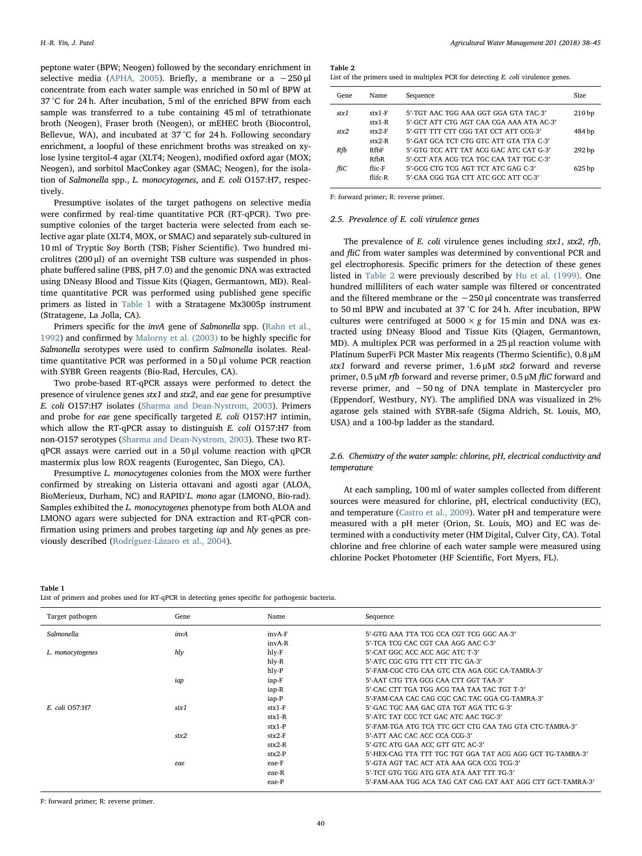peptone water (BPW; Neogen) followed by the secondary enrichment in selective media ([APHA, 2005\)](#page-6-14). Briefly, a membrane or a ~250 μl concentrate from each water sample was enriched in 50 ml of BPW at 37 °C for 24 h. After incubation, 5 ml of the enriched BPW from each sample was transferred to a tube containing 45 ml of tetrathionate broth (Neogen), Fraser broth (Neogen), or mEHEC broth (Biocontrol, Bellevue, WA), and incubated at 37 °C for 24 h. Following secondary enrichment, a loopful of these enrichment broths was streaked on xylose lysine tergitol-4 agar (XLT4; Neogen), modified oxford agar (MOX; Neogen), and sorbitol MacConkey agar (SMAC; Neogen), for the isolation of Salmonella spp., L. monocytogenes, and E. coli O157:H7, respectively.

Presumptive isolates of the target pathogens on selective media were confirmed by real-time quantitative PCR (RT-qPCR). Two presumptive colonies of the target bacteria were selected from each selective agar plate (XLT4, MOX, or SMAC) and separately sub-cultured in 10 ml of Tryptic Soy Borth (TSB; Fisher Scientific). Two hundred microlitres (200 μl) of an overnight TSB culture was suspended in phosphate buffered saline (PBS, pH 7.0) and the genomic DNA was extracted using DNeasy Blood and Tissue Kits (Qiagen, Germantown, MD). Realtime quantitative PCR was performed using published gene specific primers as listed in [Table 1](#page-2-0) with a Stratagene Mx3005p instrument (Stratagene, La Jolla, CA).

Primers specific for the invA gene of Salmonella spp. [\(Rahn et al.,](#page-7-28) [1992\)](#page-7-28) and confirmed by [Malorny et al. \(2003\)](#page-7-29) to be highly specific for Salmonella serotypes were used to confirm Salmonella isolates. Realtime quantitative PCR was performed in a 50 μl volume PCR reaction with SYBR Green reagents (Bio-Rad, Hercules, CA).

Two probe-based RT-qPCR assays were performed to detect the presence of virulence genes stx1 and stx2, and eae gene for presumptive E. coli O157:H7 isolates [\(Sharma and Dean-Nystrom, 2003\)](#page-7-30). Primers and probe for eae gene specifically targeted E. coli O157:H7 intimin, which allow the RT-qPCR assay to distinguish E. coli O157:H7 from non-O157 serotypes [\(Sharma and Dean-Nystrom, 2003\)](#page-7-30). These two RTqPCR assays were carried out in a 50 μl volume reaction with qPCR mastermix plus low ROX reagents (Eurogentec, San Diego, CA).

Presumptive L. monocytogenes colonies from the MOX were further confirmed by streaking on Listeria ottavani and agosti agar (ALOA, BioMerieux, Durham, NC) and RAPID'L. mono agar (LMONO, Bio-rad). Samples exhibited the L. monocytogenes phenotype from both ALOA and LMONO agars were subjected for DNA extraction and RT-qPCR confirmation using primers and probes targeting iap and hly genes as previously described ([Rodríguez-Lázaro et al., 2004](#page-7-31)).

#### <span id="page-2-1"></span>Table 2

| List of the primers used in multiplex PCR for detecting E. coli virulence genes. |  |  |  |
|----------------------------------------------------------------------------------|--|--|--|
|----------------------------------------------------------------------------------|--|--|--|

| Gene  | Name        | Sequence                                 | Size              |
|-------|-------------|------------------------------------------|-------------------|
| strx1 | $str1-F$    | 5'-TGT AAC TGG AAA GGT GGA GTA TAC-3'    | 210 <sub>bp</sub> |
|       | $str1-R$    | 5'-GCT ATT CTG AGT CAA CGA AAA ATA AC-3' |                   |
| stx2  | $str2-F$    | 5'-GTT TTT CTT CGG TAT CCT ATT CCG-3'    | 484 bp            |
|       | $str2-R$    | 5'-GAT GCA TCT CTG GTC ATT GTA TTA C-3'  |                   |
| Rfb   | <b>RfbF</b> | 5'-GTG TCC ATT TAT ACG GAC ATC CAT G-3'  | 292 bp            |
|       | <b>RfbR</b> | 5'-CCT ATA ACG TCA TGC CAA TAT TGC C-3'  |                   |
| fliC  | flic-F      | 5'-GCG CTG TCG AGT TCT ATC GAG C-3'      | 625 <sub>bp</sub> |
|       | flifc-R     | 5'-CAA CGG TGA CTT ATC GCC ATT CC-3'     |                   |
|       |             |                                          |                   |

F: forward primer; R: reverse primer.

#### 2.5. Prevalence of E. coli virulence genes

The prevalence of E. coli virulence genes including  $stx1$ ,  $stx2$ ,  $rfb$ , and fliC from water samples was determined by conventional PCR and gel electrophoresis. Specific primers for the detection of these genes listed in [Table 2](#page-2-1) were previously described by [Hu et al. \(1999\).](#page-6-15) One hundred milliliters of each water sample was filtered or concentrated and the filtered membrane or the ∼250 μl concentrate was transferred to 50 ml BPW and incubated at 37 °C for 24 h. After incubation, BPW cultures were centrifuged at  $5000 \times g$  for 15 min and DNA was extracted using DNeasy Blood and Tissue Kits (Qiagen, Germantown, MD). A multiplex PCR was performed in a 25 μl reaction volume with Platinum SuperFi PCR Master Mix reagents (Thermo Scientific), 0.8 μM stx1 forward and reverse primer, 1.6 μM stx2 forward and reverse primer, 0.5 μM rfb forward and reverse primer, 0.5 μM fliC forward and reverse primer, and ∼50 ng of DNA template in Mastercycler pro (Eppendorf, Westbury, NY). The amplified DNA was visualized in 2% agarose gels stained with SYBR-safe (Sigma Aldrich, St. Louis, MO, USA) and a 100-bp ladder as the standard.

## 2.6. Chemistry of the water sample: chlorine, pH, electrical conductivity and temperature

At each sampling, 100 ml of water samples collected from different sources were measured for chlorine, pH, electrical conductivity (EC), and temperature ([Castro et al., 2009\)](#page-6-16). Water pH and temperature were measured with a pH meter (Orion, St. Louis, MO) and EC was determined with a conductivity meter (HM Digital, Culver City, CA). Total chlorine and free chlorine of each water sample were measured using chlorine Pocket Photometer (HF Scientific, Fort Myers, FL).

#### <span id="page-2-0"></span>Table 1

List of primers and probes used for RT-qPCR in detecting genes specific for pathogenic bacteria.

| Target pathogen       | Gene | Name     | Sequence                                                    |
|-----------------------|------|----------|-------------------------------------------------------------|
| Salmonella            | invA | invA-F   | 5'-GTG AAA TTA TCG CCA CGT TCG GGC AA-3'                    |
|                       |      | invA-R   | 5'-TCA TCG CAC CGT CAA AGG AAC C-3'                         |
| L. monocytogenes      | hly  | hly-F    | 5'-CAT GGC ACC ACC AGC ATC T-3'                             |
|                       |      | hly-R    | 5'-ATC CGC GTG TTT CTT TTC GA-3'                            |
|                       |      | hly-P    | 5'-FAM-CGC CTG CAA GTC CTA AGA CGC CA-TAMRA-3'              |
|                       | iap  | iap-F    | 5'-AAT CTG TTA GCG CAA CTT GGT TAA-3'                       |
|                       |      | iap-R    | 5'-CAC CTT TGA TGG ACG TAA TAA TAC TGT T-3'                 |
|                       |      | iap-P    | 5'-FAM-CAA CAC CAG CGC CAC TAC GGA CG-TAMRA-3'              |
| <i>F. coli</i> O57:H7 | stx1 | $stx1-F$ | 5'-GAC TGC AAA GAC GTA TGT AGA TTC G-3'                     |
|                       |      | $str1-R$ | 5'-ATC TAT CCC TCT GAC ATC AAC TGC-3'                       |
|                       |      | $stx1-P$ | 5'-FAM-TGA ATG TCA TTC GCT CTG CAA TAG GTA CTC-TAMRA-3'     |
|                       | stx2 | $stx2-F$ | 5'-ATT AAC CAC ACC CCA CCG-3'                               |
|                       |      | $stx2-R$ | 5'-GTC ATG GAA ACC GTT GTC AC-3'                            |
|                       |      | $stx2-P$ | 5'-HEX-CAG TTA TTT TGC TGT GGA TAT ACG AGG GCT TG-TAMRA-3'  |
|                       | eae  | eae-F    | 5'-GTA AGT TAC ACT ATA AAA GCA CCG TCG-3'                   |
|                       |      | eae-R    | 5'-TCT GTG TGG ATG GTA ATA AAT TTT TG-3'                    |
|                       |      | eae-P    | 5'-FAM-AAA TGG ACA TAG CAT CAG CAT AAT AGG CTT GCT-TAMRA-3' |

F: forward primer; R: reverse primer.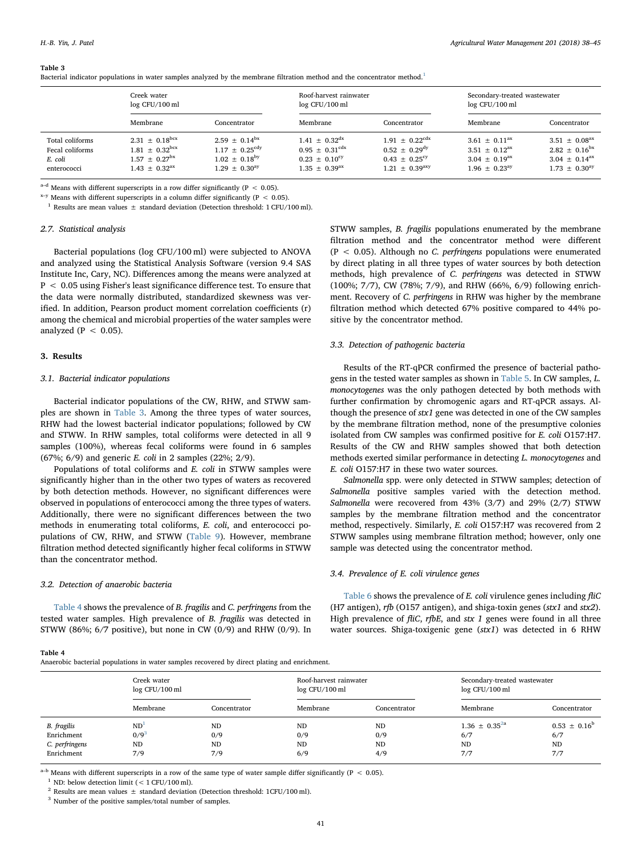#### <span id="page-3-0"></span>Table 3

Bacterial indicator populations in water samples analyzed by the membrane filtration method and the concentrator method.<sup>[1](#page-3-2)</sup>

|                                                              | Creek water<br>log CFU/100 ml                                                                                                  |                                                                                           | Roof-harvest rainwater<br>log CFU/100 ml                                                                       |                                                                                                                         | Secondary-treated wastewater<br>log CFU/100 ml                                                             |                                                                                                                   |  |
|--------------------------------------------------------------|--------------------------------------------------------------------------------------------------------------------------------|-------------------------------------------------------------------------------------------|----------------------------------------------------------------------------------------------------------------|-------------------------------------------------------------------------------------------------------------------------|------------------------------------------------------------------------------------------------------------|-------------------------------------------------------------------------------------------------------------------|--|
|                                                              | Membrane                                                                                                                       | Concentrator                                                                              | Membrane                                                                                                       | Concentrator                                                                                                            | Membrane                                                                                                   | Concentrator                                                                                                      |  |
| Total coliforms<br>Fecal coliforms<br>E. coli<br>enterococci | $2.31 \pm 0.18$ <sup>bcx</sup><br>$1.81 \pm 0.32^{\text{bcx}}$<br>$1.57 \pm 0.27^{\text{bx}}$<br>$1.43 \pm 0.32$ <sup>ax</sup> | $2.59 + 0.14bx$<br>$1.17 + 0.25^{\text{cdy}}$<br>$1.02 + 0.18^{by}$<br>$1.29 + 0.30^{ay}$ | $1.41 + 0.32$ <sup>dx</sup><br>$0.95 \pm 0.31^{\text{cdx}}$<br>$0.23 + 0.10^{\text{cy}}$<br>$1.35 + 0.39^{ax}$ | $1.91 \pm 0.22$ <sup>cdx</sup><br>$0.52 \pm 0.29$ <sup>dy</sup><br>$0.43 \pm 0.25^{\text{cy}}$<br>$1.21 \pm 0.39^{axy}$ | $3.61 + 0.11^{ax}$<br>$3.51 \pm 0.12$ <sup>ax</sup><br>$3.04 \pm 0.19$ <sup>ax</sup><br>$1.96 + 0.23^{ay}$ | $3.51 \pm 0.08$ <sup>ax</sup><br>$2.82 \pm 0.16^{\text{bx}}$<br>$3.04 \pm 0.14^{\text{ax}}$<br>$1.73 + 0.30^{ay}$ |  |

 $a-d$  Means with different superscripts in a row differ significantly (P < 0.05).

 $x-y$  Means with different superscripts in a column differ significantly (P < 0.05).

<span id="page-3-2"></span><sup>1</sup> Results are mean values  $\pm$  standard deviation (Detection threshold: 1 CFU/100 ml).

## 2.7. Statistical analysis

Bacterial populations (log CFU/100 ml) were subjected to ANOVA and analyzed using the Statistical Analysis Software (version 9.4 SAS Institute Inc, Cary, NC). Differences among the means were analyzed at P < 0.05 using Fisher's least significance difference test. To ensure that the data were normally distributed, standardized skewness was verified. In addition, Pearson product moment correlation coefficients (r) among the chemical and microbial properties of the water samples were analyzed ( $P < 0.05$ ).

## 3. Results

#### 3.1. Bacterial indicator populations

Bacterial indicator populations of the CW, RHW, and STWW samples are shown in [Table 3.](#page-3-0) Among the three types of water sources, RHW had the lowest bacterial indicator populations; followed by CW and STWW. In RHW samples, total coliforms were detected in all 9 samples (100%), whereas fecal coliforms were found in 6 samples (67%; 6/9) and generic E. coli in 2 samples (22%; 2/9).

Populations of total coliforms and E. coli in STWW samples were significantly higher than in the other two types of waters as recovered by both detection methods. However, no significant differences were observed in populations of enterococci among the three types of waters. Additionally, there were no significant differences between the two methods in enumerating total coliforms, E. coli, and enterococci populations of CW, RHW, and STWW [\(Table 9](#page-5-0)). However, membrane filtration method detected significantly higher fecal coliforms in STWW than the concentrator method.

## 3.2. Detection of anaerobic bacteria

<span id="page-3-1"></span>Table 4

[Table 4](#page-3-1) shows the prevalence of B. fragilis and C. perfringens from the tested water samples. High prevalence of B. fragilis was detected in STWW (86%; 6/7 positive), but none in CW (0/9) and RHW (0/9). In

Anaerobic bacterial populations in water samples recovered by direct plating and enrichment.

STWW samples, B. fragilis populations enumerated by the membrane filtration method and the concentrator method were different  $(P < 0.05)$ . Although no *C. perfringens* populations were enumerated by direct plating in all three types of water sources by both detection methods, high prevalence of C. perfringens was detected in STWW (100%; 7/7), CW (78%; 7/9), and RHW (66%, 6/9) following enrichment. Recovery of C. perfringens in RHW was higher by the membrane filtration method which detected 67% positive compared to 44% positive by the concentrator method.

## 3.3. Detection of pathogenic bacteria

Results of the RT-qPCR confirmed the presence of bacterial pathogens in the tested water samples as shown in [Table 5](#page-4-0). In CW samples, L. monocytogenes was the only pathogen detected by both methods with further confirmation by chromogenic agars and RT-qPCR assays. Although the presence of stx1 gene was detected in one of the CW samples by the membrane filtration method, none of the presumptive colonies isolated from CW samples was confirmed positive for E. coli O157:H7. Results of the CW and RHW samples showed that both detection methods exerted similar performance in detecting L. monocytogenes and E. coli O157:H7 in these two water sources.

Salmonella spp. were only detected in STWW samples; detection of Salmonella positive samples varied with the detection method. Salmonella were recovered from 43% (3/7) and 29% (2/7) STWW samples by the membrane filtration method and the concentrator method, respectively. Similarly, E. coli O157:H7 was recovered from 2 STWW samples using membrane filtration method; however, only one sample was detected using the concentrator method.

### 3.4. Prevalence of E. coli virulence genes

[Table 6](#page-4-1) shows the prevalence of E. coli virulence genes including fliC (H7 antigen), rfb (O157 antigen), and shiga-toxin genes (stx1 and stx2). High prevalence of fliC, rfbE, and stx 1 genes were found in all three water sources. Shiga-toxigenic gene (stx1) was detected in 6 RHW

|                | Creek water<br>log CFU/100 ml |              | Roof-harvest rainwater<br>log CFU/100 ml |              | Secondary-treated wastewater<br>log CFU/100 ml |                         |
|----------------|-------------------------------|--------------|------------------------------------------|--------------|------------------------------------------------|-------------------------|
|                | Membrane                      | Concentrator | Membrane                                 | Concentrator | Membrane                                       | Concentrator            |
| B. fragilis    | ND <sup>1</sup>               | <b>ND</b>    | <b>ND</b>                                | <b>ND</b>    | $1.36 + 0.35^{2a}$                             | $0.53 \pm 0.16^{\rm b}$ |
| Enrichment     | $0/9^3$                       | 0/9          | 0/9                                      | 0/9          | 6/7                                            | 6/7                     |
| C. perfringens | <b>ND</b>                     | <b>ND</b>    | <b>ND</b>                                | <b>ND</b>    | <b>ND</b>                                      | <b>ND</b>               |
| Enrichment     | 7/9                           | 7/9          | 6/9                                      | 4/9          | 7/7                                            | 7/7                     |

 $a-b$  Means with different superscripts in a row of the same type of water sample differ significantly (P < 0.05).

<span id="page-3-3"></span><sup>1</sup> ND: below detection limit ( $< 1$  CFU/100 ml).

<span id="page-3-4"></span><sup>2</sup> Results are mean values  $\pm$  standard deviation (Detection threshold: 1CFU/100 ml).

<span id="page-3-5"></span> $^3$  Number of the positive samples/total number of samples.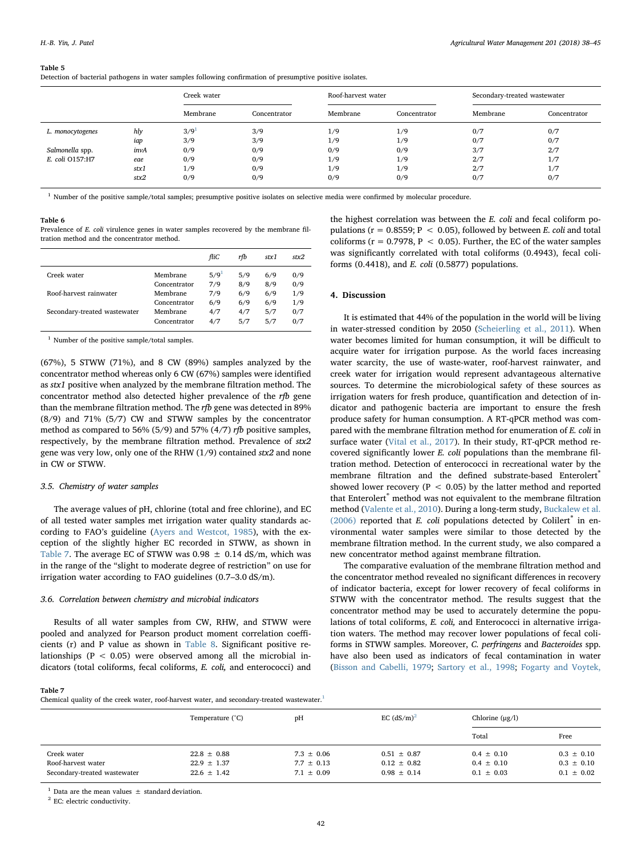#### <span id="page-4-0"></span>Table 5

Detection of bacterial pathogens in water samples following confirmation of presumptive positive isolates.

|                  |      | Creek water |              | Roof-harvest water |              | Secondary-treated wastewater |              |
|------------------|------|-------------|--------------|--------------------|--------------|------------------------------|--------------|
|                  |      | Membrane    | Concentrator | Membrane           | Concentrator | Membrane                     | Concentrator |
| L. monocytogenes | hly  | $3/9^1$     | 3/9          | 1/9                | 1/9          | 0/7                          | 0/7          |
|                  | iap  | 3/9         | 3/9          | 1/9                | 1/9          | 0/7                          | 0/7          |
| Salmonella spp.  | invA | 0/9         | 0/9          | 0/9                | 0/9          | 3/7                          | 2/7          |
| E. coli O157:H7  | eae  | 0/9         | 0/9          | 1/9                | 1/9          | 2/7                          | 1/7          |
|                  | stx1 | 1/9         | 0/9          | 1/9                | 1/9          | 2/7                          | 1/7          |
|                  | stx2 | 0/9         | 0/9          | 0/9                | 0/9          | 0/7                          | 0/7          |

<span id="page-4-3"></span><sup>1</sup> Number of the positive sample/total samples; presumptive positive isolates on selective media were confirmed by molecular procedure.

#### <span id="page-4-1"></span>Table 6

Prevalence of E. coli virulence genes in water samples recovered by the membrane filtration method and the concentrator method.

|                              |              | fliC               | rfb | stx1 | stx2 |
|------------------------------|--------------|--------------------|-----|------|------|
| Creek water                  | Membrane     | $5/9$ <sup>1</sup> | 5/9 | 6/9  | 0/9  |
|                              | Concentrator | 7/9                | 8/9 | 8/9  | 0/9  |
| Roof-harvest rainwater       | Membrane     | 7/9                | 6/9 | 6/9  | 1/9  |
|                              | Concentrator | 6/9                | 6/9 | 6/9  | 1/9  |
| Secondary-treated wastewater | Membrane     | 4/7                | 4/7 | 5/7  | 0/7  |
|                              | Concentrator | 4/7                | 5/7 | 5/7  | 0/7  |

<span id="page-4-4"></span><sup>1</sup> Number of the positive sample/total samples.

(67%), 5 STWW (71%), and 8 CW (89%) samples analyzed by the concentrator method whereas only 6 CW (67%) samples were identified as stx1 positive when analyzed by the membrane filtration method. The concentrator method also detected higher prevalence of the rfb gene than the membrane filtration method. The rfb gene was detected in 89% (8/9) and 71% (5/7) CW and STWW samples by the concentrator method as compared to 56% (5/9) and 57% (4/7) rfb positive samples, respectively, by the membrane filtration method. Prevalence of stx2 gene was very low, only one of the RHW (1/9) contained stx2 and none in CW or STWW.

#### 3.5. Chemistry of water samples

The average values of pH, chlorine (total and free chlorine), and EC of all tested water samples met irrigation water quality standards according to FAO's guideline ([Ayers and Westcot, 1985\)](#page-6-17), with the exception of the slightly higher EC recorded in STWW, as shown in [Table 7](#page-4-2). The average EC of STWW was  $0.98 \pm 0.14$  dS/m, which was in the range of the "slight to moderate degree of restriction" on use for irrigation water according to FAO guidelines (0.7–3.0 dS/m).

## 3.6. Correlation between chemistry and microbial indicators

Results of all water samples from CW, RHW, and STWW were pooled and analyzed for Pearson product moment correlation coefficients (r) and P value as shown in [Table 8.](#page-5-1) Significant positive relationships ( $P < 0.05$ ) were observed among all the microbial indicators (total coliforms, fecal coliforms, E. coli, and enterococci) and

## the highest correlation was between the E. coli and fecal coliform populations ( $r = 0.8559$ ;  $P < 0.05$ ), followed by between *E*. *coli* and total coliforms ( $r = 0.7978$ ,  $P < 0.05$ ). Further, the EC of the water samples was significantly correlated with total coliforms (0.4943), fecal coliforms  $(0.4418)$ , and E. coli  $(0.5877)$  populations.

## 4. Discussion

It is estimated that 44% of the population in the world will be living in water-stressed condition by 2050 ([Scheierling et al., 2011\)](#page-7-32). When water becomes limited for human consumption, it will be difficult to acquire water for irrigation purpose. As the world faces increasing water scarcity, the use of waste-water, roof-harvest rainwater, and creek water for irrigation would represent advantageous alternative sources. To determine the microbiological safety of these sources as irrigation waters for fresh produce, quantification and detection of indicator and pathogenic bacteria are important to ensure the fresh produce safety for human consumption. A RT-qPCR method was compared with the membrane filtration method for enumeration of E. coli in surface water ([Vital et al., 2017\)](#page-7-33). In their study, RT-qPCR method recovered significantly lower E. coli populations than the membrane filtration method. Detection of enterococci in recreational water by the membrane filtration and the defined substrate-based Enterolert® showed lower recovery ( $P < 0.05$ ) by the latter method and reported that Enterolert® method was not equivalent to the membrane filtration method [\(Valente et al., 2010](#page-7-34)). During a long-term study, [Buckalew et al.](#page-6-18) [\(2006\)](#page-6-18) reported that E. coli populations detected by Colilert $\degree$  in environmental water samples were similar to those detected by the membrane filtration method. In the current study, we also compared a new concentrator method against membrane filtration.

The comparative evaluation of the membrane filtration method and the concentrator method revealed no significant differences in recovery of indicator bacteria, except for lower recovery of fecal coliforms in STWW with the concentrator method. The results suggest that the concentrator method may be used to accurately determine the populations of total coliforms, E. coli, and Enterococci in alternative irrigation waters. The method may recover lower populations of fecal coliforms in STWW samples. Moreover, C. perfringens and Bacteroides spp. have also been used as indicators of fecal contamination in water ([Bisson and Cabelli, 1979](#page-6-13); [Sartory et al., 1998;](#page-7-35) [Fogarty and Voytek,](#page-6-19)

## <span id="page-4-2"></span>Table 7

Chemical quality of the creek water, roof-harvest water, and secondary-treated wastewater.<sup>[1](#page-4-5)</sup>

|                                                                   | Temperature (°C)                                      | pH                                                 | EC $(dS/m)^2$                                         | Chlorine $(\mu g/l)$                               |                                                    |
|-------------------------------------------------------------------|-------------------------------------------------------|----------------------------------------------------|-------------------------------------------------------|----------------------------------------------------|----------------------------------------------------|
|                                                                   |                                                       |                                                    |                                                       | Total                                              | Free                                               |
| Creek water<br>Roof-harvest water<br>Secondary-treated wastewater | $22.8 \pm 0.88$<br>$22.9 \pm 1.37$<br>$22.6 \pm 1.42$ | $7.3 \pm 0.06$<br>$7.7 \pm 0.13$<br>$7.1 \pm 0.09$ | $0.51 \pm 0.87$<br>$0.12 \pm 0.82$<br>$0.98 \pm 0.14$ | $0.4 \pm 0.10$<br>$0.4 \pm 0.10$<br>$0.1 \pm 0.03$ | $0.3 \pm 0.10$<br>$0.3 \pm 0.10$<br>$0.1 \pm 0.02$ |

<span id="page-4-5"></span> $^1$  Data are the mean values  $\pm$  standard deviation.

<span id="page-4-6"></span> $^{\rm 2}$  EC: electric conductivity.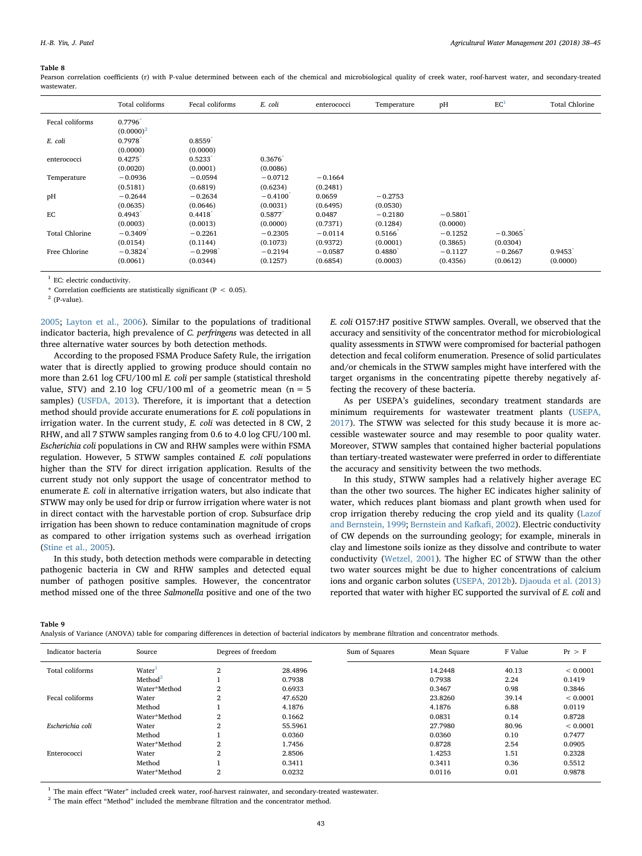#### <span id="page-5-1"></span>Table 8

Pearson correlation coefficients (r) with P-value determined between each of the chemical and microbiological quality of creek water, roof-harvest water, and secondary-treated wastewater.

|                       | Total coliforms        | Fecal coliforms       | E. coli                            | enterococci           | Temperature           | pH                    | EC <sup>1</sup>       | <b>Total Chlorine</b> |
|-----------------------|------------------------|-----------------------|------------------------------------|-----------------------|-----------------------|-----------------------|-----------------------|-----------------------|
| Fecal coliforms       | 0.7796<br>$(0.0000)^2$ |                       |                                    |                       |                       |                       |                       |                       |
| E. coli               | 0.7978<br>(0.0000)     | 0.8559<br>(0.0000)    |                                    |                       |                       |                       |                       |                       |
| enterococci           | 0.4275<br>(0.0020)     | 0.5233<br>(0.0001)    | 0.3676<br>(0.0086)                 |                       |                       |                       |                       |                       |
| Temperature           | $-0.0936$<br>(0.5181)  | $-0.0594$<br>(0.6819) | $-0.0712$<br>(0.6234)              | $-0.1664$<br>(0.2481) |                       |                       |                       |                       |
| pH                    | $-0.2644$<br>(0.0635)  | $-0.2634$<br>(0.0646) | $-0.4100$ <sup>*</sup><br>(0.0031) | 0.0659<br>(0.6495)    | $-0.2753$<br>(0.0530) |                       |                       |                       |
| EC                    | 0.4943<br>(0.0003)     | 0.4418<br>(0.0013)    | 0.5877<br>(0.0000)                 | 0.0487<br>(0.7371)    | $-0.2180$<br>(0.1284) | $-0.5801$<br>(0.0000) |                       |                       |
| <b>Total Chlorine</b> | $-0.3409$<br>(0.0154)  | $-0.2261$<br>(0.1144) | $-0.2305$<br>(0.1073)              | $-0.0114$<br>(0.9372) | 0.5166<br>(0.0001)    | $-0.1252$<br>(0.3865) | $-0.3065$<br>(0.0304) |                       |
| Free Chlorine         | $-0.3824$<br>(0.0061)  | $-0.2998$<br>(0.0344) | $-0.2194$<br>(0.1257)              | $-0.0587$<br>(0.6854) | 0.4880<br>(0.0003)    | $-0.1127$<br>(0.4356) | $-0.2667$<br>(0.0612) | 0.9453<br>(0.0000)    |

<span id="page-5-2"></span>EC: electric conductivity.

<span id="page-5-3"></span>\* Correlation coefficients are statistically significant ( $P < 0.05$ ).

<span id="page-5-4"></span> $2$  (P-value).

[2005;](#page-6-19) [Layton et al., 2006](#page-7-36)). Similar to the populations of traditional indicator bacteria, high prevalence of C. perfringens was detected in all three alternative water sources by both detection methods.

According to the proposed FSMA Produce Safety Rule, the irrigation water that is directly applied to growing produce should contain no more than 2.61 log CFU/100 ml E. coli per sample (statistical threshold value, STV) and 2.10 log CFU/100 ml of a geometric mean ( $n = 5$ samples) [\(USFDA, 2013](#page-7-18)). Therefore, it is important that a detection method should provide accurate enumerations for E. coli populations in irrigation water. In the current study, E. coli was detected in 8 CW, 2 RHW, and all 7 STWW samples ranging from 0.6 to 4.0 log CFU/100 ml. Escherichia coli populations in CW and RHW samples were within FSMA regulation. However, 5 STWW samples contained E. coli populations higher than the STV for direct irrigation application. Results of the current study not only support the usage of concentrator method to enumerate E. coli in alternative irrigation waters, but also indicate that STWW may only be used for drip or furrow irrigation where water is not in direct contact with the harvestable portion of crop. Subsurface drip irrigation has been shown to reduce contamination magnitude of crops as compared to other irrigation systems such as overhead irrigation ([Stine et al., 2005\)](#page-7-37).

In this study, both detection methods were comparable in detecting pathogenic bacteria in CW and RHW samples and detected equal number of pathogen positive samples. However, the concentrator method missed one of the three Salmonella positive and one of the two E. coli O157:H7 positive STWW samples. Overall, we observed that the accuracy and sensitivity of the concentrator method for microbiological quality assessments in STWW were compromised for bacterial pathogen detection and fecal coliform enumeration. Presence of solid particulates and/or chemicals in the STWW samples might have interfered with the target organisms in the concentrating pipette thereby negatively affecting the recovery of these bacteria.

As per USEPA's guidelines, secondary treatment standards are minimum requirements for wastewater treatment plants ([USEPA,](#page-7-38) [2017\)](#page-7-38). The STWW was selected for this study because it is more accessible wastewater source and may resemble to poor quality water. Moreover, STWW samples that contained higher bacterial populations than tertiary-treated wastewater were preferred in order to differentiate the accuracy and sensitivity between the two methods.

In this study, STWW samples had a relatively higher average EC than the other two sources. The higher EC indicates higher salinity of water, which reduces plant biomass and plant growth when used for crop irrigation thereby reducing the crop yield and its quality ([Lazof](#page-7-39) [and Bernstein, 1999;](#page-7-39) [Bernstein and Kafka](#page-6-20)fi, 2002). Electric conductivity of CW depends on the surrounding geology; for example, minerals in clay and limestone soils ionize as they dissolve and contribute to water conductivity ([Wetzel, 2001](#page-7-40)). The higher EC of STWW than the other two water sources might be due to higher concentrations of calcium ions and organic carbon solutes [\(USEPA, 2012b\)](#page-7-7). [Djaouda et al. \(2013\)](#page-6-21) reported that water with higher EC supported the survival of E. coli and

<span id="page-5-0"></span>Table 9

Analysis of Variance (ANOVA) table for comparing differences in detection of bacterial indicators by membrane filtration and concentrator methods.

| Indicator bacteria | Source              | Degrees of freedom |         | Sum of Squares | Mean Square | F Value | Pr > F       |
|--------------------|---------------------|--------------------|---------|----------------|-------------|---------|--------------|
| Total coliforms    | Water <sup>1</sup>  | $\overline{2}$     | 28.4896 |                | 14.2448     | 40.13   | ${}< 0.0001$ |
|                    | Method <sup>2</sup> |                    | 0.7938  |                | 0.7938      | 2.24    | 0.1419       |
|                    | Water*Method        | $\overline{2}$     | 0.6933  |                | 0.3467      | 0.98    | 0.3846       |
| Fecal coliforms    | Water               | $\overline{2}$     | 47.6520 |                | 23.8260     | 39.14   | ${}< 0.0001$ |
|                    | Method              |                    | 4.1876  |                | 4.1876      | 6.88    | 0.0119       |
|                    | Water*Method        | 2                  | 0.1662  |                | 0.0831      | 0.14    | 0.8728       |
| Escherichia coli   | Water               | $\overline{2}$     | 55.5961 |                | 27.7980     | 80.96   | ${}< 0.0001$ |
|                    | Method              |                    | 0.0360  |                | 0.0360      | 0.10    | 0.7477       |
|                    | Water*Method        | $\overline{2}$     | 1.7456  |                | 0.8728      | 2.54    | 0.0905       |
| Enterococci        | Water               | $\overline{2}$     | 2.8506  |                | 1.4253      | 1.51    | 0.2328       |
|                    | Method              |                    | 0.3411  |                | 0.3411      | 0.36    | 0.5512       |
|                    | Water*Method        | $\overline{2}$     | 0.0232  |                | 0.0116      | 0.01    | 0.9878       |

<span id="page-5-5"></span><sup>1</sup> The main effect "Water" included creek water, roof-harvest rainwater, and secondary-treated wastewater.

<span id="page-5-6"></span> $^{\rm 2}$  The main effect "Method" included the membrane filtration and the concentrator method.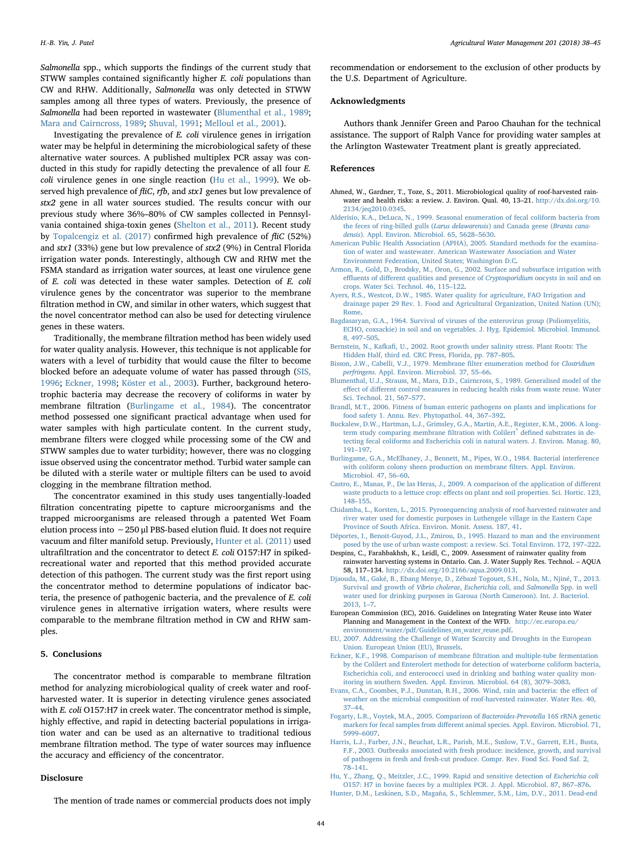Salmonella spp., which supports the findings of the current study that STWW samples contained significantly higher E. coli populations than CW and RHW. Additionally, Salmonella was only detected in STWW samples among all three types of waters. Previously, the presence of Salmonella had been reported in wastewater ([Blumenthal et al., 1989](#page-6-22); [Mara and Cairncross, 1989;](#page-7-41) [Shuval, 1991](#page-7-42); [Melloul et al., 2001](#page-7-43)).

Investigating the prevalence of E. coli virulence genes in irrigation water may be helpful in determining the microbiological safety of these alternative water sources. A published multiplex PCR assay was conducted in this study for rapidly detecting the prevalence of all four E. coli virulence genes in one single reaction ([Hu et al., 1999\)](#page-6-15). We observed high prevalence of flic, rfb, and stx1 genes but low prevalence of stx2 gene in all water sources studied. The results concur with our previous study where 36%–80% of CW samples collected in Pennsylvania contained shiga-toxin genes [\(Shelton et al., 2011\)](#page-7-44). Recent study by [Topalcengiz et al. \(2017\)](#page-7-45) confirmed high prevalence of fliC (52%) and stx1 (33%) gene but low prevalence of stx2 (9%) in Central Florida irrigation water ponds. Interestingly, although CW and RHW met the FSMA standard as irrigation water sources, at least one virulence gene of E. coli was detected in these water samples. Detection of E. coli virulence genes by the concentrator was superior to the membrane filtration method in CW, and similar in other waters, which suggest that the novel concentrator method can also be used for detecting virulence genes in these waters.

Traditionally, the membrane filtration method has been widely used for water quality analysis. However, this technique is not applicable for waters with a level of turbidity that would cause the filter to become blocked before an adequate volume of water has passed through ([SIS,](#page-7-26) [1996;](#page-7-26) [Eckner, 1998;](#page-6-12) [Köster et al., 2003](#page-7-27)). Further, background heterotrophic bacteria may decrease the recovery of coliforms in water by membrane filtration ([Burlingame et al., 1984](#page-6-23)). The concentrator method possessed one significant practical advantage when used for water samples with high particulate content. In the current study, membrane filters were clogged while processing some of the CW and STWW samples due to water turbidity; however, there was no clogging issue observed using the concentrator method. Turbid water sample can be diluted with a sterile water or multiple filters can be used to avoid clogging in the membrane filtration method.

The concentrator examined in this study uses tangentially-loaded filtration concentrating pipette to capture microorganisms and the trapped microorganisms are released through a patented Wet Foam elution process into ∼250 μl PBS-based elution fluid. It does not require vacuum and filter manifold setup. Previously, [Hunter et al. \(2011\)](#page-6-24) used ultrafiltration and the concentrator to detect E. coli O157:H7 in spikedrecreational water and reported that this method provided accurate detection of this pathogen. The current study was the first report using the concentrator method to determine populations of indicator bacteria, the presence of pathogenic bacteria, and the prevalence of E. coli virulence genes in alternative irrigation waters, where results were comparable to the membrane filtration method in CW and RHW samples.

## 5. Conclusions

The concentrator method is comparable to membrane filtration method for analyzing microbiological quality of creek water and roofharvested water. It is superior in detecting virulence genes associated with E. coli O157:H7 in creek water. The concentrator method is simple, highly effective, and rapid in detecting bacterial populations in irrigation water and can be used as an alternative to traditional tedious membrane filtration method. The type of water sources may influence the accuracy and efficiency of the concentrator.

#### Disclosure

The mention of trade names or commercial products does not imply

recommendation or endorsement to the exclusion of other products by the U.S. Department of Agriculture.

## Acknowledgments

Authors thank Jennifer Green and Paroo Chauhan for the technical assistance. The support of Ralph Vance for providing water samples at the Arlington Wastewater Treatment plant is greatly appreciated.

## References

- <span id="page-6-2"></span>Ahmed, W., Gardner, T., Toze, S., 2011. Microbiological quality of roof-harvested rainwater and health risks: a review. J. Environ. Qual. 40, 13–21. [http://dx.doi.org/10.](http://dx.doi.org/10.2134/jeq2010.0345) [2134/jeq2010.0345](http://dx.doi.org/10.2134/jeq2010.0345).
- <span id="page-6-11"></span>[Alderisio, K.A., DeLuca, N., 1999. Seasonal enumeration of fecal coliform bacteria from](http://refhub.elsevier.com/S0378-3774(18)30057-X/sbref0010) [the feces of ring-billed gulls \(](http://refhub.elsevier.com/S0378-3774(18)30057-X/sbref0010)Larus delawarensis) and Canada geese (Branta canadensis[\). Appl. Environ. Microbiol. 65, 5628](http://refhub.elsevier.com/S0378-3774(18)30057-X/sbref0010)–5630.
- <span id="page-6-14"></span>[American Public Health Association \(APHA\), 2005. Standard methods for the examina](http://refhub.elsevier.com/S0378-3774(18)30057-X/sbref0015)[tion of water and wastewater. American Wastewater Association and Water](http://refhub.elsevier.com/S0378-3774(18)30057-X/sbref0015) [Environment Federation, United States; Washington D.C.](http://refhub.elsevier.com/S0378-3774(18)30057-X/sbref0015)
- <span id="page-6-9"></span>[Armon, R., Gold, D., Brodsky, M., Oron, G., 2002. Surface and subsurface irrigation with](http://refhub.elsevier.com/S0378-3774(18)30057-X/sbref0020) effluents of diff[erent qualities and presence of](http://refhub.elsevier.com/S0378-3774(18)30057-X/sbref0020) Cryptosporidium oocysts in soil and on [crops. Water Sci. Technol. 46, 115](http://refhub.elsevier.com/S0378-3774(18)30057-X/sbref0020)–122.
- <span id="page-6-17"></span>[Ayers, R.S., Westcot, D.W., 1985. Water quality for agriculture, FAO Irrigation and](http://refhub.elsevier.com/S0378-3774(18)30057-X/sbref0025) [drainage paper 29 Rev. 1. Food and Agricultural Organization, United Nation \(UN\);](http://refhub.elsevier.com/S0378-3774(18)30057-X/sbref0025) [Rome.](http://refhub.elsevier.com/S0378-3774(18)30057-X/sbref0025)
- <span id="page-6-10"></span>[Bagdasaryan, G.A., 1964. Survival of viruses of the enterovirus group \(Poliomyelitis,](http://refhub.elsevier.com/S0378-3774(18)30057-X/sbref0030) [ECHO, coxsackie\) in soil and on vegetables. J. Hyg. Epidemiol. Microbiol. Immunol.](http://refhub.elsevier.com/S0378-3774(18)30057-X/sbref0030) [8, 497](http://refhub.elsevier.com/S0378-3774(18)30057-X/sbref0030)–505.
- <span id="page-6-20"></span>Bernstein, N., Kafkafi[, U., 2002. Root growth under salinity stress. Plant Roots: The](http://refhub.elsevier.com/S0378-3774(18)30057-X/sbref0035) [Hidden Half, third ed. CRC Press, Florida, pp. 787](http://refhub.elsevier.com/S0378-3774(18)30057-X/sbref0035)–805.
- <span id="page-6-13"></span>[Bisson, J.W., Cabelli, V.J., 1979. Membrane](http://refhub.elsevier.com/S0378-3774(18)30057-X/sbref0040) filter enumeration method for Clostridium perfringens[. Appl. Environ. Microbiol. 37, 55](http://refhub.elsevier.com/S0378-3774(18)30057-X/sbref0040)–66.
- <span id="page-6-22"></span>[Blumenthal, U.J., Strauss, M., Mara, D.D., Cairncross, S., 1989. Generalised model of the](http://refhub.elsevier.com/S0378-3774(18)30057-X/sbref0045) effect of diff[erent control measures in reducing health risks from waste reuse. Water](http://refhub.elsevier.com/S0378-3774(18)30057-X/sbref0045) [Sci. Technol. 21, 567](http://refhub.elsevier.com/S0378-3774(18)30057-X/sbref0045)–577.
- <span id="page-6-6"></span>[Brandl, M.T., 2006. Fitness of human enteric pathogens on plants and implications for](http://refhub.elsevier.com/S0378-3774(18)30057-X/sbref0050) [food safety 1. Annu. Rev. Phytopathol. 44, 367](http://refhub.elsevier.com/S0378-3774(18)30057-X/sbref0050)–392.
- <span id="page-6-18"></span>[Buckalew, D.W., Hartman, L.J., Grimsley, G.A., Martin, A.E., Register, K.M., 2006. A long](http://refhub.elsevier.com/S0378-3774(18)30057-X/sbref0055)[term study comparing membrane](http://refhub.elsevier.com/S0378-3774(18)30057-X/sbref0055) filtration with Colilert® defined substrates in de[tecting fecal coliforms and Escherichia coli in natural waters. J. Environ. Manag. 80,](http://refhub.elsevier.com/S0378-3774(18)30057-X/sbref0055) 191–[197](http://refhub.elsevier.com/S0378-3774(18)30057-X/sbref0055).
- <span id="page-6-23"></span>[Burlingame, G.A., McElhaney, J., Bennett, M., Pipes, W.O., 1984. Bacterial interference](http://refhub.elsevier.com/S0378-3774(18)30057-X/sbref0060) [with coliform colony sheen production on membrane](http://refhub.elsevier.com/S0378-3774(18)30057-X/sbref0060) filters. Appl. Environ. [Microbiol. 47, 56](http://refhub.elsevier.com/S0378-3774(18)30057-X/sbref0060)–60.
- <span id="page-6-16"></span>[Castro, E., Manas, P., De las Heras, J., 2009. A comparison of the application of di](http://refhub.elsevier.com/S0378-3774(18)30057-X/sbref0065)fferent waste products to a lettuce crop: eff[ects on plant and soil properties. Sci. Hortic. 123,](http://refhub.elsevier.com/S0378-3774(18)30057-X/sbref0065) 148–[155](http://refhub.elsevier.com/S0378-3774(18)30057-X/sbref0065).
- <span id="page-6-3"></span>[Chidamba, L., Korsten, L., 2015. Pyrosequencing analysis of roof-harvested rainwater and](http://refhub.elsevier.com/S0378-3774(18)30057-X/sbref0070) [river water used for domestic purposes in Luthengele village in the Eastern Cape](http://refhub.elsevier.com/S0378-3774(18)30057-X/sbref0070) [Province of South Africa. Environ. Monit. Assess. 187, 41](http://refhub.elsevier.com/S0378-3774(18)30057-X/sbref0070).
- <span id="page-6-8"></span>[Déportes, I., Benoit-Guyod, J.L., Zmirou, D., 1995. Hazard to man and the environment](http://refhub.elsevier.com/S0378-3774(18)30057-X/sbref0075) [posed by the use of urban waste compost: a review. Sci. Total Environ. 172, 197](http://refhub.elsevier.com/S0378-3774(18)30057-X/sbref0075)–222.
- <span id="page-6-5"></span>Despins, C., Farahbakhsh, K., Leidl, C., 2009. Assessment of rainwater quality from rainwater harvesting systems in Ontario. Can. J. Water Supply Res. Technol. – AQUA 58, 117–134. <http://dx.doi.org/10.2166/aqua.2009.013>.
- <span id="page-6-21"></span>[Djaouda, M., Gaké, B., Ebang Menye, D., Zébazé Togouet, S.H., Nola, M., Njiné, T., 2013.](http://refhub.elsevier.com/S0378-3774(18)30057-X/sbref0085) [Survival and growth of](http://refhub.elsevier.com/S0378-3774(18)30057-X/sbref0085) Vibrio cholerae, Escherichia coli, and Salmonella Spp. in well [water used for drinking purposes in Garoua \(North Cameroon\). Int. J. Bacteriol.](http://refhub.elsevier.com/S0378-3774(18)30057-X/sbref0085) [2013, 1](http://refhub.elsevier.com/S0378-3774(18)30057-X/sbref0085)–7.
- <span id="page-6-1"></span>European Commission (EC), 2016. Guidelines on Integrating Water Reuse into Water Planning and Management in the Context of the WFD. [http://ec.europa.eu/](http://ec.europa.eu/environment/water/pdf/Guidelines_on_water_reuse.pdf) [environment/water/pdf/Guidelines\\_on\\_water\\_reuse.pdf](http://ec.europa.eu/environment/water/pdf/Guidelines_on_water_reuse.pdf).
- <span id="page-6-0"></span>[EU, 2007. Addressing the Challenge of Water Scarcity and Droughts in the European](http://refhub.elsevier.com/S0378-3774(18)30057-X/sbref0095) [Union. European Union \(EU\), Brussels](http://refhub.elsevier.com/S0378-3774(18)30057-X/sbref0095).
- <span id="page-6-12"></span>[Eckner, K.F., 1998. Comparison of membrane](http://refhub.elsevier.com/S0378-3774(18)30057-X/sbref0100) filtration and multiple-tube fermentation [by the Colilert and Enterolert methods for detection of waterborne coliform bacteria,](http://refhub.elsevier.com/S0378-3774(18)30057-X/sbref0100) [Escherichia coli, and enterococci used in drinking and bathing water quality mon](http://refhub.elsevier.com/S0378-3774(18)30057-X/sbref0100)[itoring in southern Sweden. Appl. Environ. Microbiol. 64 \(8\), 3079](http://refhub.elsevier.com/S0378-3774(18)30057-X/sbref0100)–3083.
- <span id="page-6-4"></span>[Evans, C.A., Coombes, P.J., Dunstan, R.H., 2006. Wind, rain and bacteria: the e](http://refhub.elsevier.com/S0378-3774(18)30057-X/sbref0105)ffect of [weather on the microbial composition of roof-harvested rainwater. Water Res. 40,](http://refhub.elsevier.com/S0378-3774(18)30057-X/sbref0105) 37–[44](http://refhub.elsevier.com/S0378-3774(18)30057-X/sbref0105).
- <span id="page-6-19"></span>[Fogarty, L.R., Voytek, M.A., 2005. Comparison of](http://refhub.elsevier.com/S0378-3774(18)30057-X/sbref0110) Bacteroides-Prevotella 16S rRNA genetic markers for fecal samples from diff[erent animal species. Appl. Environ. Microbiol. 71,](http://refhub.elsevier.com/S0378-3774(18)30057-X/sbref0110) 5999–[6007](http://refhub.elsevier.com/S0378-3774(18)30057-X/sbref0110).
- <span id="page-6-7"></span>[Harris, L.J., Farber, J.N., Beuchat, L.R., Parish, M.E., Suslow, T.V., Garrett, E.H., Busta,](http://refhub.elsevier.com/S0378-3774(18)30057-X/sbref0115) [F.F., 2003. Outbreaks associated with fresh produce: incidence, growth, and survival](http://refhub.elsevier.com/S0378-3774(18)30057-X/sbref0115) [of pathogens in fresh and fresh-cut produce. Compr. Rev. Food Sci. Food Saf. 2,](http://refhub.elsevier.com/S0378-3774(18)30057-X/sbref0115) 78–[141.](http://refhub.elsevier.com/S0378-3774(18)30057-X/sbref0115)
- <span id="page-6-15"></span>[Hu, Y., Zhang, Q., Meitzler, J.C., 1999. Rapid and sensitive detection of](http://refhub.elsevier.com/S0378-3774(18)30057-X/sbref0120) Escherichia coli [O157: H7 in bovine faeces by a multiplex PCR. J. Appl. Microbiol. 87, 867](http://refhub.elsevier.com/S0378-3774(18)30057-X/sbref0120)–876.
- <span id="page-6-24"></span>Hunter, [D.M., Leskinen, S.D., Magaña, S., Schlemmer, S.M., Lim, D.V., 2011. Dead-end](http://refhub.elsevier.com/S0378-3774(18)30057-X/sbref0125)